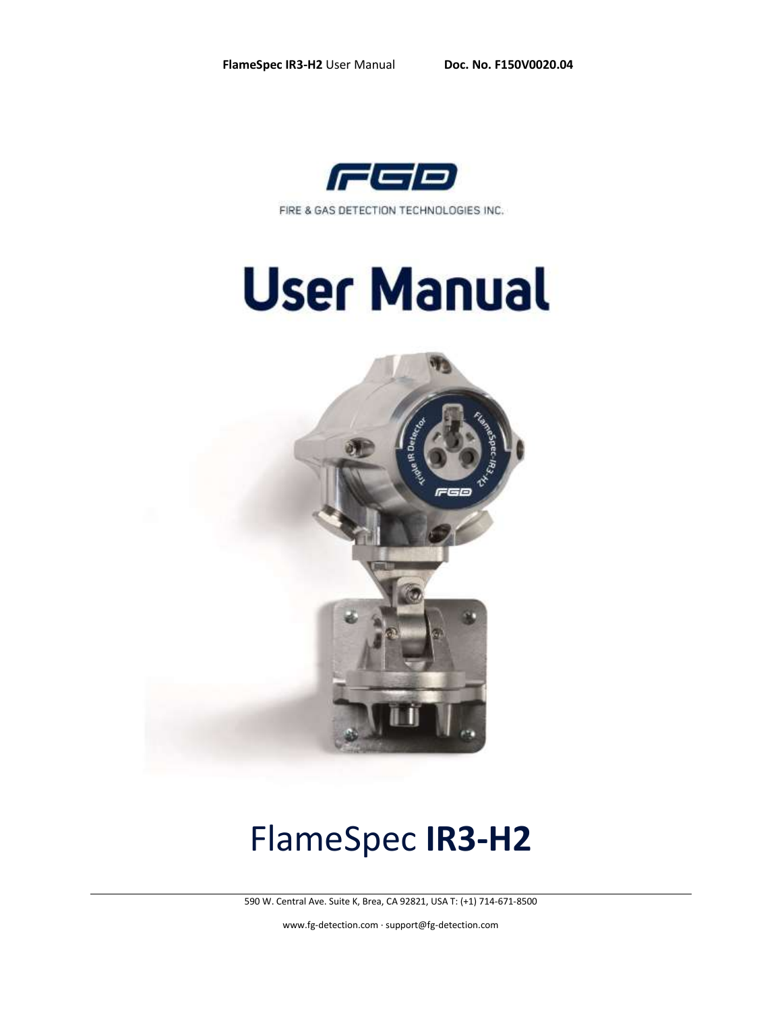

FIRE & GAS DETECTION TECHNOLOGIES INC.

# **User Manual**



# FlameSpec **IR3-H2**

590 W. Central Ave. Suite K, Brea, CA 92821, USA T: (+1) 714-671-8500

[www.fg-detection.com](http://www.fg-detection.com/) · support@fg-detection.com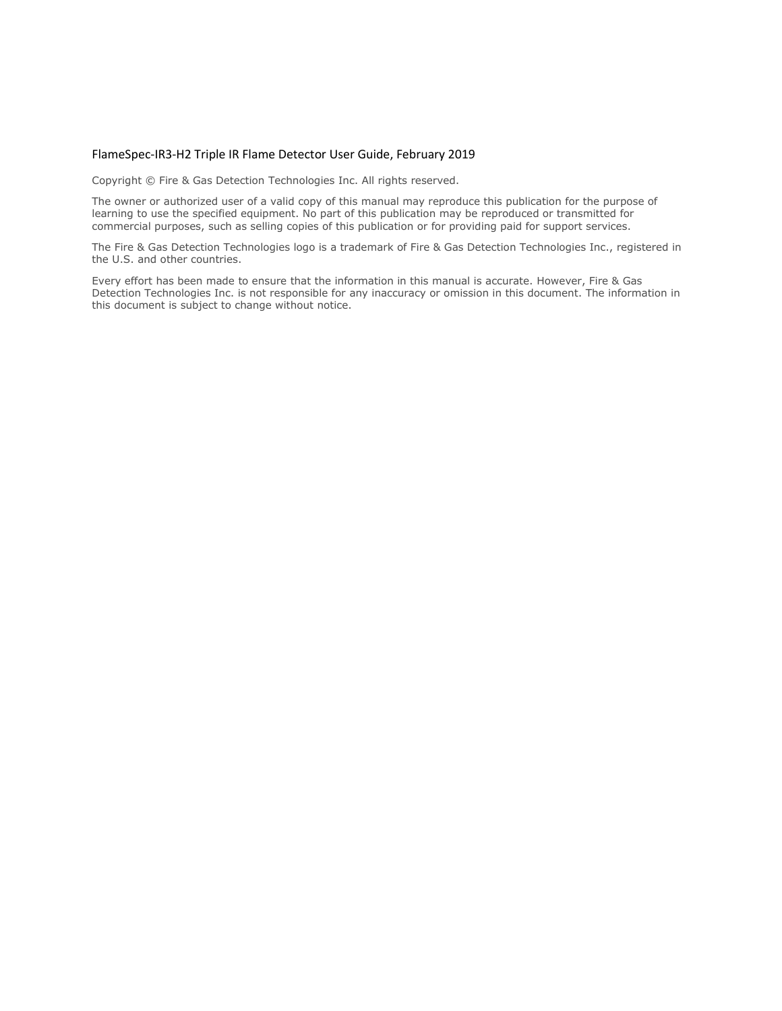#### FlameSpec-IR3-H2 Triple IR Flame Detector User Guide, February 2019

Copyright © Fire & Gas Detection Technologies Inc. All rights reserved.

The owner or authorized user of a valid copy of this manual may reproduce this publication for the purpose of learning to use the specified equipment. No part of this publication may be reproduced or transmitted for commercial purposes, such as selling copies of this publication or for providing paid for support services.

The Fire & Gas Detection Technologies logo is a trademark of Fire & Gas Detection Technologies Inc., registered in the U.S. and other countries.

Every effort has been made to ensure that the information in this manual is accurate. However, Fire & Gas Detection Technologies Inc. is not responsible for any inaccuracy or omission in this document. The information in this document is subject to change without notice.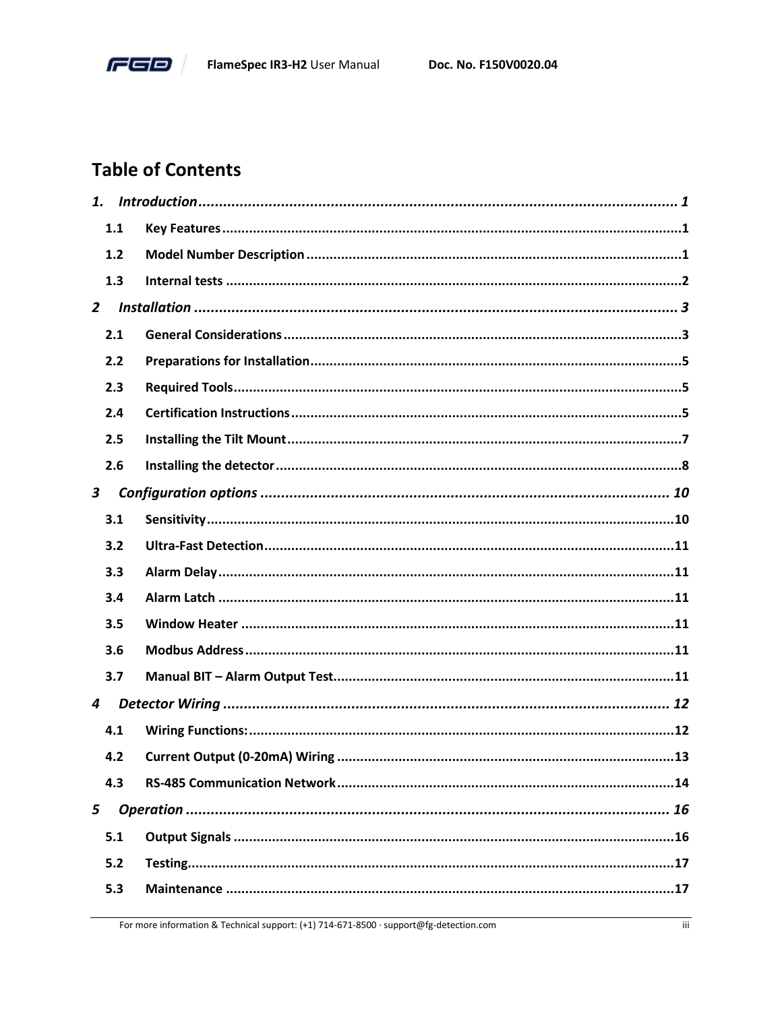

# **Table of Contents**

| 1.             |     |  |
|----------------|-----|--|
|                | 1.1 |  |
|                | 1.2 |  |
|                | 1.3 |  |
| $\overline{2}$ |     |  |
|                | 2.1 |  |
|                | 2.2 |  |
|                | 2.3 |  |
|                | 2.4 |  |
|                | 2.5 |  |
|                | 2.6 |  |
| $\mathbf{3}$   |     |  |
|                | 3.1 |  |
|                | 3.2 |  |
|                | 3.3 |  |
|                | 3.4 |  |
|                | 3.5 |  |
|                | 3.6 |  |
|                | 3.7 |  |
| 4              |     |  |
|                | 4.1 |  |
|                | 4.2 |  |
|                | 4.3 |  |
| 5              |     |  |
|                | 5.1 |  |
|                | 5.2 |  |
|                | 5.3 |  |
|                |     |  |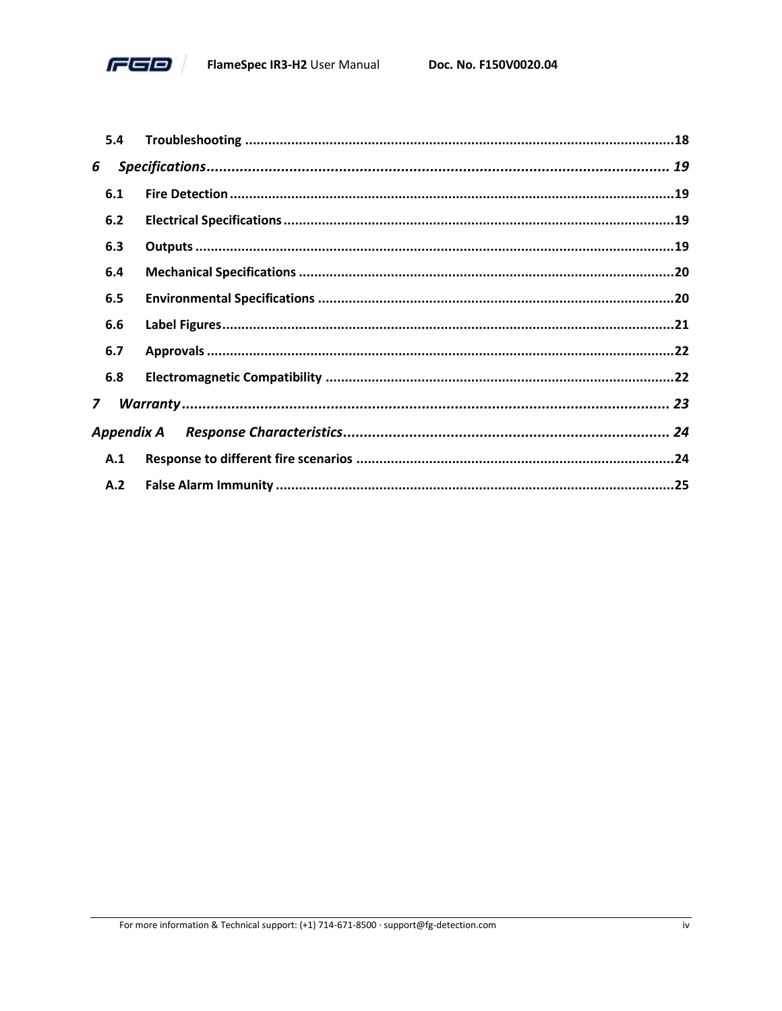

|   | 5.4        |  |
|---|------------|--|
| 6 |            |  |
|   | 6.1        |  |
|   | 6.2        |  |
|   | 6.3        |  |
|   | 6.4        |  |
|   | 6.5        |  |
|   | 6.6        |  |
|   | 6.7        |  |
|   | 6.8        |  |
| 7 |            |  |
|   | Appendix A |  |
|   | A.1        |  |
|   | A.2        |  |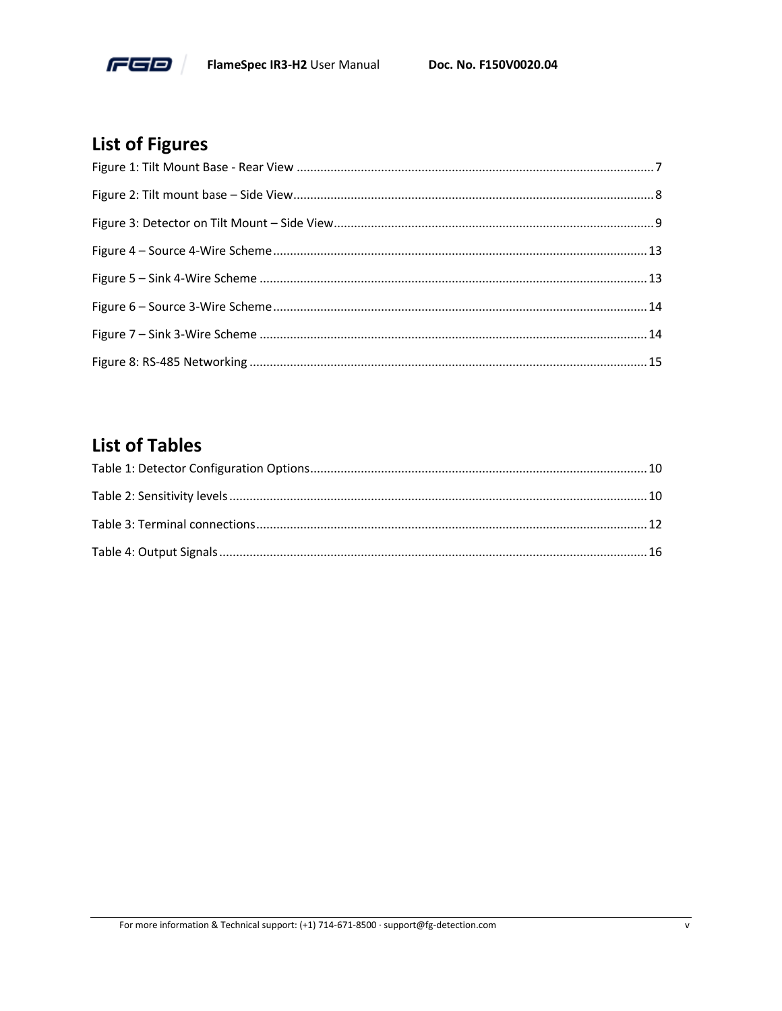

# **List of Figures**

# **List of Tables**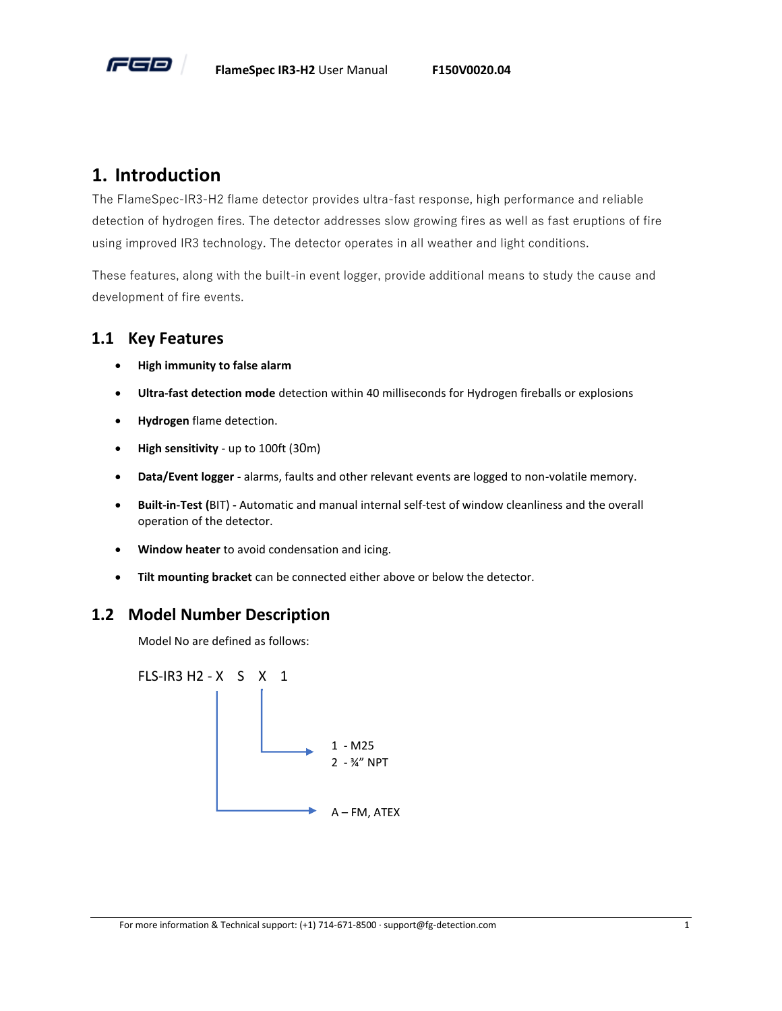

# <span id="page-5-0"></span>**1. Introduction**

The FlameSpec-IR3-H2 flame detector provides ultra-fast response, high performance and reliable detection of hydrogen fires. The detector addresses slow growing fires as well as fast eruptions of fire using improved IR3 technology. The detector operates in all weather and light conditions.

These features, along with the built-in event logger, provide additional means to study the cause and development of fire events.

#### <span id="page-5-1"></span>**1.1 Key Features**

- **High immunity to false alarm**
- **Ultra-fast detection mode** detection within 40 milliseconds for Hydrogen fireballs or explosions
- **Hydrogen** flame detection.
- **High sensitivity** up to 100ft (30m)
- **Data/Event logger** alarms, faults and other relevant events are logged to non-volatile memory.
- **Built-in-Test (**BIT) **-** Automatic and manual internal self-test of window cleanliness and the overall operation of the detector.
- **Window heater** to avoid condensation and icing.
- **Tilt mounting bracket** can be connected either above or below the detector.

#### <span id="page-5-2"></span>**1.2 Model Number Description**

Model No are defined as follows:

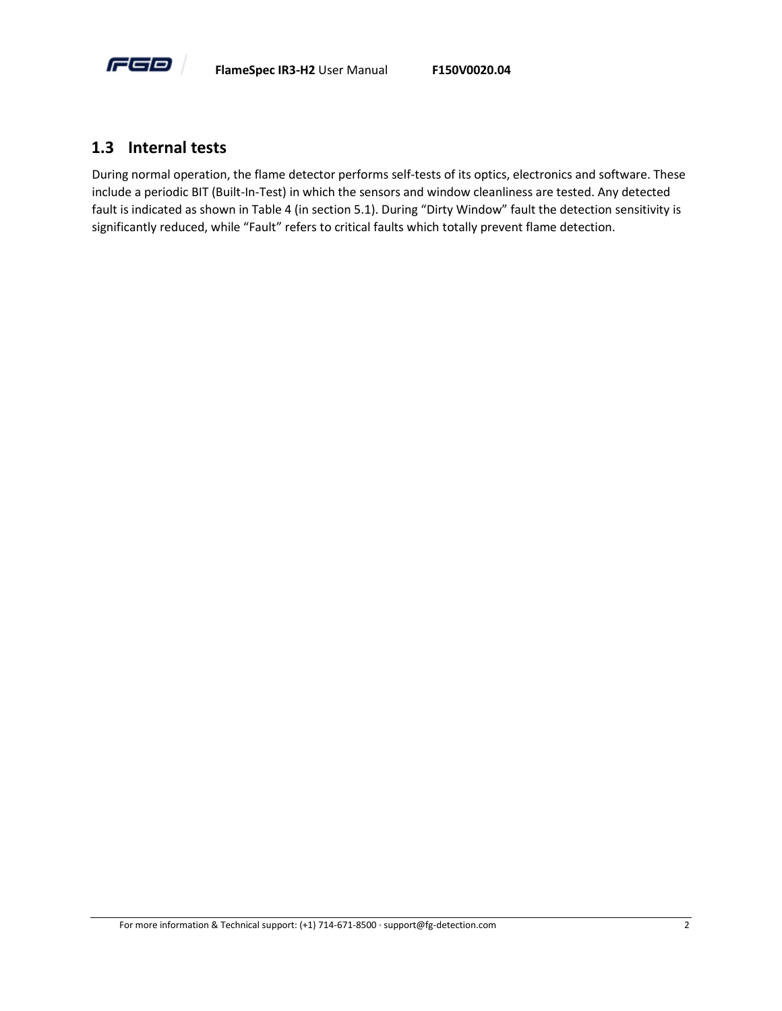

#### <span id="page-6-0"></span>**1.3 Internal tests**

During normal operation, the flame detector performs self-tests of its optics, electronics and software. These include a periodic BIT (Built-In-Test) in which the sensors and window cleanliness are tested. Any detected fault is indicated as shown in [Table 4](#page-20-2) (in section [5.1\)](#page-20-1). During "Dirty Window" fault the detection sensitivity is significantly reduced, while "Fault" refers to critical faults which totally prevent flame detection.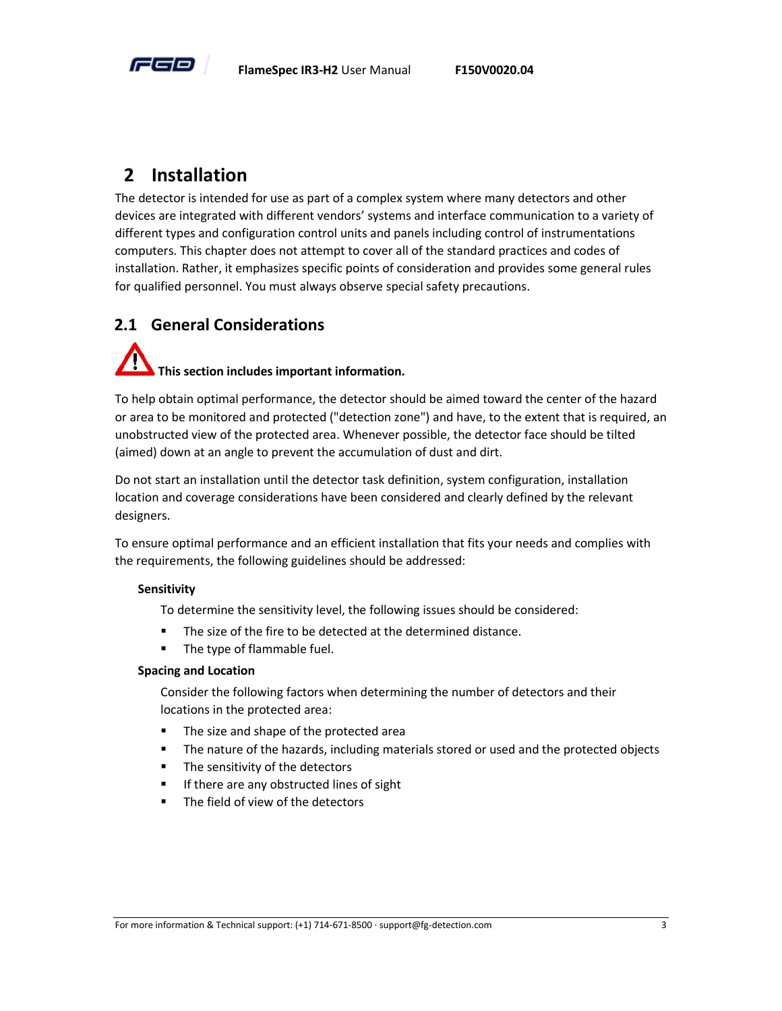

# <span id="page-7-0"></span>**2 Installation**

The detector is intended for use as part of a complex system where many detectors and other devices are integrated with different vendors' systems and interface communication to a variety of different types and configuration control units and panels including control of instrumentations computers. This chapter does not attempt to cover all of the standard practices and codes of installation. Rather, it emphasizes specific points of consideration and provides some general rules for qualified personnel. You must always observe special safety precautions.

# <span id="page-7-1"></span>**2.1 General Considerations**

# **This section includes important information.**

To help obtain optimal performance, the detector should be aimed toward the center of the hazard or area to be monitored and protected ("detection zone") and have, to the extent that is required, an unobstructed view of the protected area. Whenever possible, the detector face should be tilted (aimed) down at an angle to prevent the accumulation of dust and dirt.

Do not start an installation until the detector task definition, system configuration, installation location and coverage considerations have been considered and clearly defined by the relevant designers.

To ensure optimal performance and an efficient installation that fits your needs and complies with the requirements, the following guidelines should be addressed:

#### **Sensitivity**

To determine the sensitivity level, the following issues should be considered:

- The size of the fire to be detected at the determined distance.
- The type of flammable fuel.

#### **Spacing and Location**

Consider the following factors when determining the number of detectors and their locations in the protected area:

- The size and shape of the protected area
- **■** The nature of the hazards, including materials stored or used and the protected objects
- The sensitivity of the detectors
- If there are any obstructed lines of sight
- The field of view of the detectors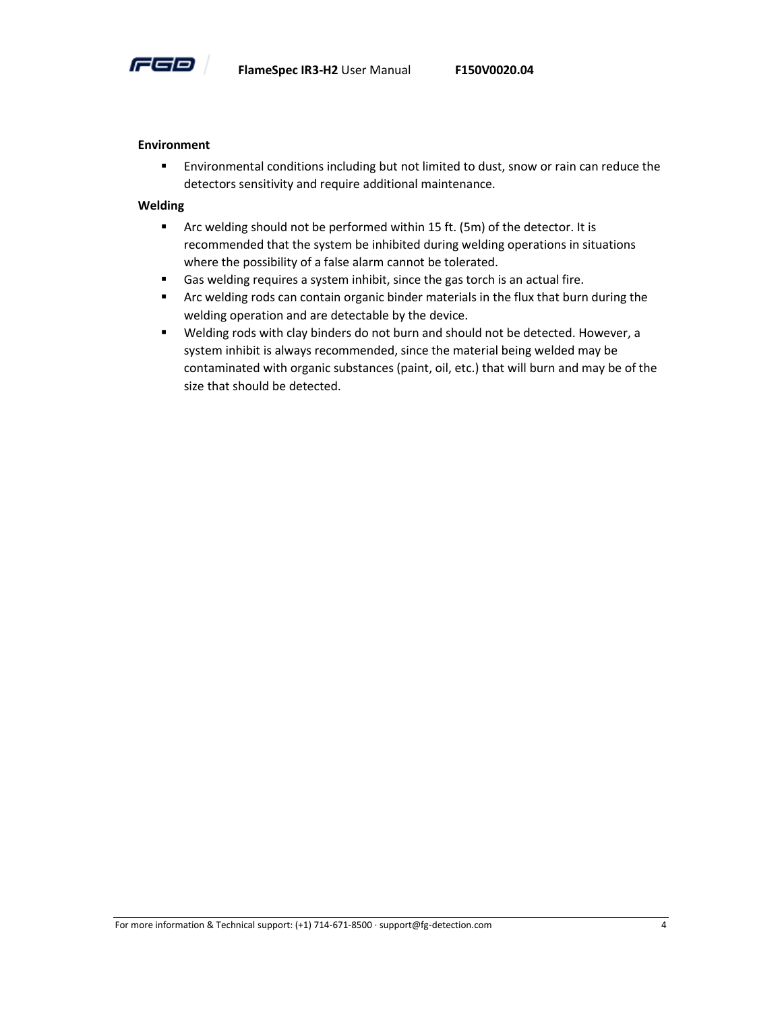

#### **Environment**

**Environmental conditions including but not limited to dust, snow or rain can reduce the** detectors sensitivity and require additional maintenance.

#### **Welding**

- Arc welding should not be performed within 15 ft. (5m) of the detector. It is recommended that the system be inhibited during welding operations in situations where the possibility of a false alarm cannot be tolerated.
- Gas welding requires a system inhibit, since the gas torch is an actual fire.
- **■** Arc welding rods can contain organic binder materials in the flux that burn during the welding operation and are detectable by the device.
- Welding rods with clay binders do not burn and should not be detected. However, a system inhibit is always recommended, since the material being welded may be contaminated with organic substances (paint, oil, etc.) that will burn and may be of the size that should be detected.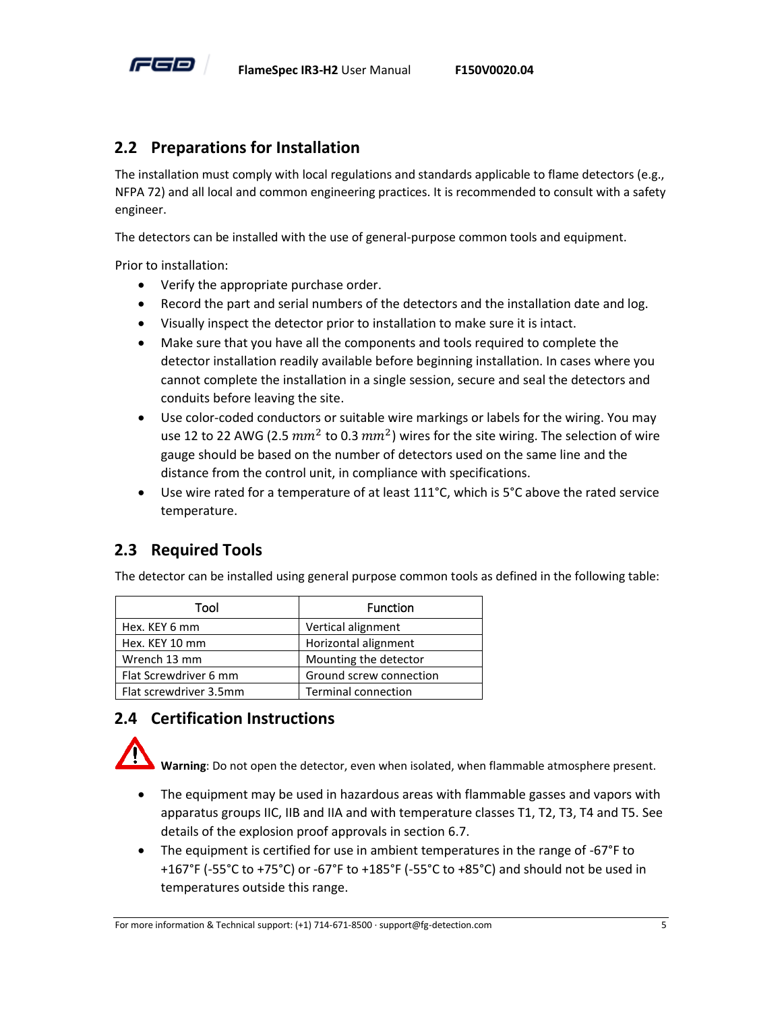

# <span id="page-9-0"></span>**2.2 Preparations for Installation**

The installation must comply with local regulations and standards applicable to flame detectors (e.g., NFPA 72) and all local and common engineering practices. It is recommended to consult with a safety engineer.

The detectors can be installed with the use of general-purpose common tools and equipment.

Prior to installation:

- Verify the appropriate purchase order.
- Record the part and serial numbers of the detectors and the installation date and log.
- Visually inspect the detector prior to installation to make sure it is intact.
- Make sure that you have all the components and tools required to complete the detector installation readily available before beginning installation. In cases where you cannot complete the installation in a single session, secure and seal the detectors and conduits before leaving the site.
- Use color-coded conductors or suitable wire markings or labels for the wiring. You may use 12 to 22 AWG (2.5  $mm^2$  to 0.3  $mm^2$ ) wires for the site wiring. The selection of wire gauge should be based on the number of detectors used on the same line and the distance from the control unit, in compliance with specifications.
- Use wire rated for a temperature of at least 111°C, which is 5°C above the rated service temperature.

# <span id="page-9-1"></span>**2.3 Required Tools**

The detector can be installed using general purpose common tools as defined in the following table:

| Tool                   | <b>Function</b>            |
|------------------------|----------------------------|
| Hex. KEY 6 mm          | Vertical alignment         |
| Hex. KEY 10 mm         | Horizontal alignment       |
| Wrench 13 mm           | Mounting the detector      |
| Flat Screwdriver 6 mm  | Ground screw connection    |
| Flat screwdriver 3.5mm | <b>Terminal connection</b> |

# <span id="page-9-2"></span>**2.4 Certification Instructions**

**Warning**: Do not open the detector, even when isolated, when flammable atmosphere present.

- The equipment may be used in hazardous areas with flammable gasses and vapors with apparatus groups IIC, IIB and IIA and with temperature classes T1, T2, T3, T4 and T5. See details of the explosion proof approvals in section [6.7.](#page-26-0)
- The equipment is certified for use in ambient temperatures in the range of -67°F to +167°F (-55°C to +75°C) or -67°F to +185°F (-55°C to +85°C) and should not be used in temperatures outside this range.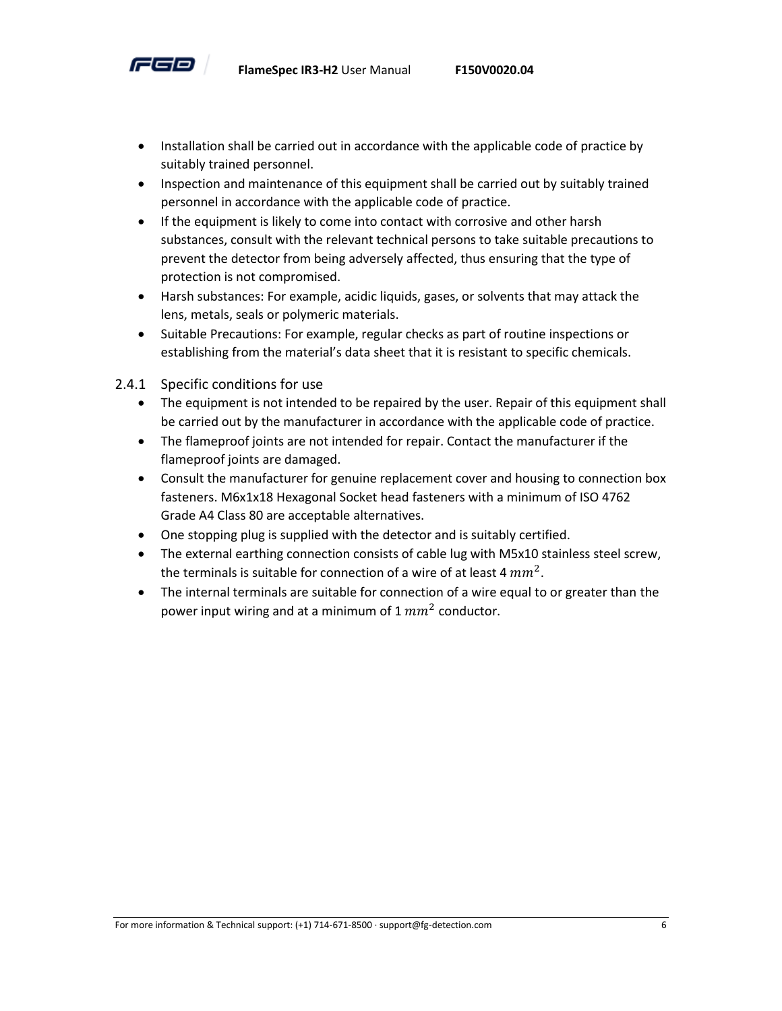

- Installation shall be carried out in accordance with the applicable code of practice by suitably trained personnel.
- Inspection and maintenance of this equipment shall be carried out by suitably trained personnel in accordance with the applicable code of practice.
- If the equipment is likely to come into contact with corrosive and other harsh substances, consult with the relevant technical persons to take suitable precautions to prevent the detector from being adversely affected, thus ensuring that the type of protection is not compromised.
- Harsh substances: For example, acidic liquids, gases, or solvents that may attack the lens, metals, seals or polymeric materials.
- Suitable Precautions: For example, regular checks as part of routine inspections or establishing from the material's data sheet that it is resistant to specific chemicals.
- 2.4.1 Specific conditions for use
	- The equipment is not intended to be repaired by the user. Repair of this equipment shall be carried out by the manufacturer in accordance with the applicable code of practice.
	- The flameproof joints are not intended for repair. Contact the manufacturer if the flameproof joints are damaged.
	- Consult the manufacturer for genuine replacement cover and housing to connection box fasteners. M6x1x18 Hexagonal Socket head fasteners with a minimum of ISO 4762 Grade A4 Class 80 are acceptable alternatives.
	- One stopping plug is supplied with the detector and is suitably certified.
	- The external earthing connection consists of cable lug with M5x10 stainless steel screw, the terminals is suitable for connection of a wire of at least 4  $mm^2$ .
	- The internal terminals are suitable for connection of a wire equal to or greater than the power input wiring and at a minimum of 1  $mm^2$  conductor.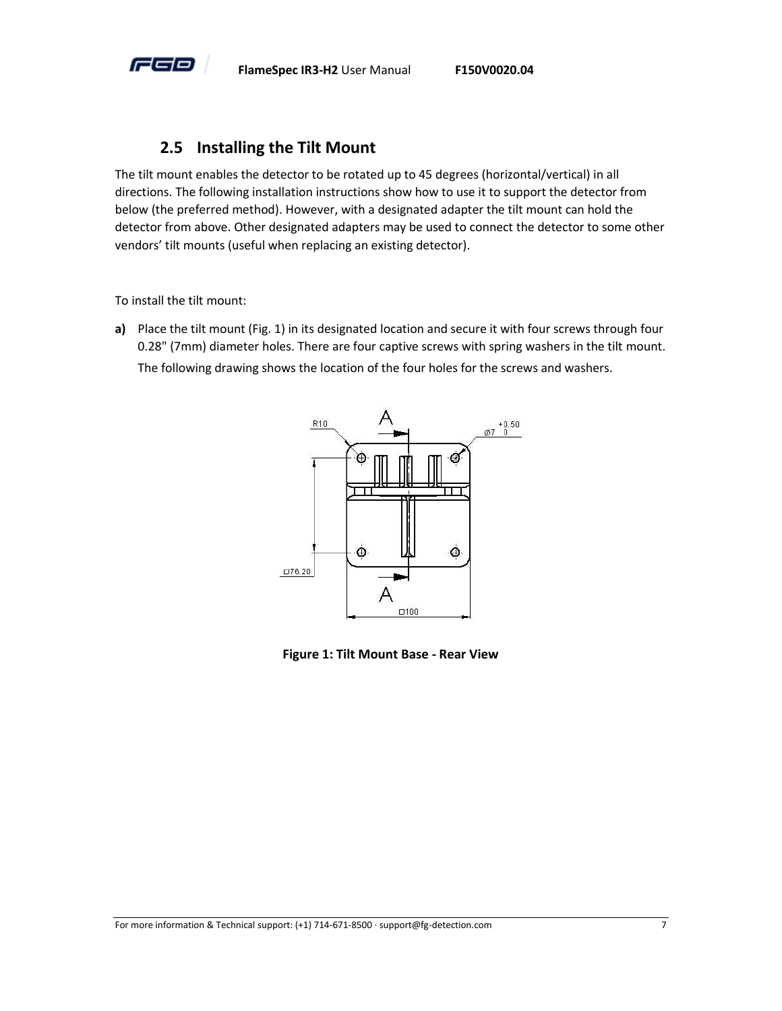

#### **2.5 Installing the Tilt Mount**

<span id="page-11-0"></span>The tilt mount enables the detector to be rotated up to 45 degrees (horizontal/vertical) in all directions. The following installation instructions show how to use it to support the detector from below (the preferred method). However, with a designated adapter the tilt mount can hold the detector from above. Other designated adapters may be used to connect the detector to some other vendors' tilt mounts (useful when replacing an existing detector).

To install the tilt mount:

**a)** Place the tilt mount (Fig. 1) in its designated location and secure it with four screws through four 0.28" (7mm) diameter holes. There are four captive screws with spring washers in the tilt mount. The following drawing shows the location of the four holes for the screws and washers.



<span id="page-11-1"></span>**Figure 1: Tilt Mount Base - Rear View**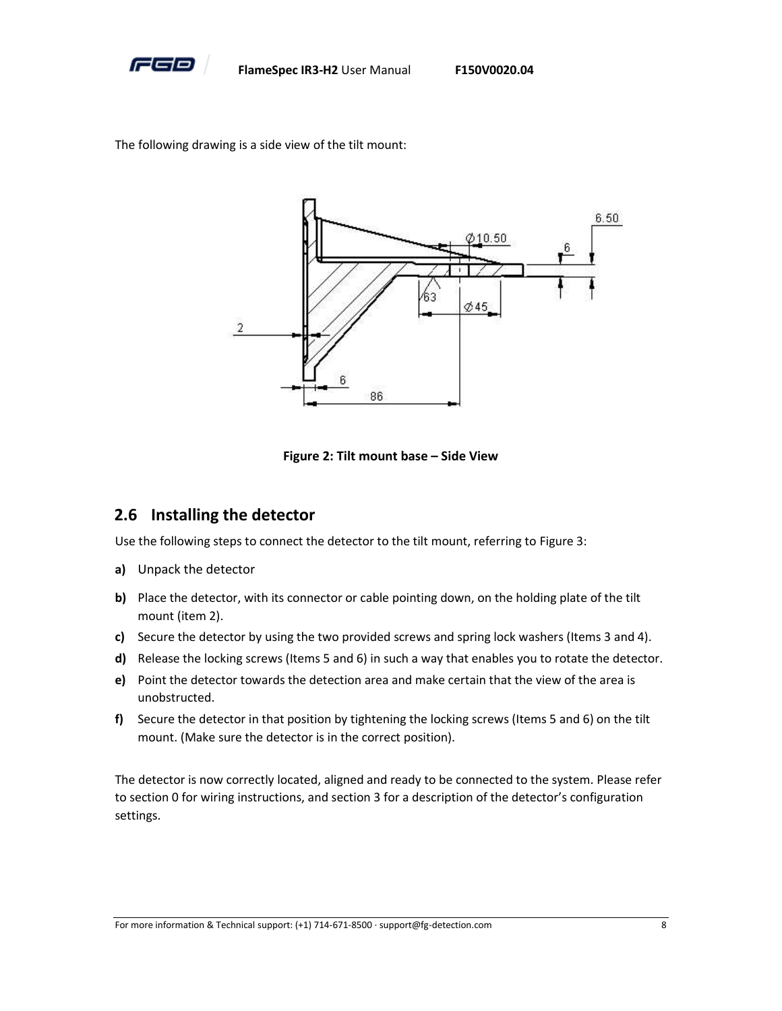

The following drawing is a side view of the tilt mount:



**Figure 2: Tilt mount base – Side View**

#### <span id="page-12-1"></span><span id="page-12-0"></span>**2.6 Installing the detector**

Use the following steps to connect the detector to the tilt mount, referring t[o Figure 3:](#page-13-0)

- **a)** Unpack the detector
- **b)** Place the detector, with its connector or cable pointing down, on the holding plate of the tilt mount (item 2).
- **c)** Secure the detector by using the two provided screws and spring lock washers (Items 3 and 4).
- **d)** Release the locking screws (Items 5 and 6) in such a way that enables you to rotate the detector.
- **e)** Point the detector towards the detection area and make certain that the view of the area is unobstructed.
- **f)** Secure the detector in that position by tightening the locking screws (Items 5 and 6) on the tilt mount. (Make sure the detector is in the correct position).

The detector is now correctly located, aligned and ready to be connected to the system. Please refer to sectio[n 0](#page-15-6) for wiring instructions, and sectio[n 3](#page-14-0) for a description of the detector's configuration settings.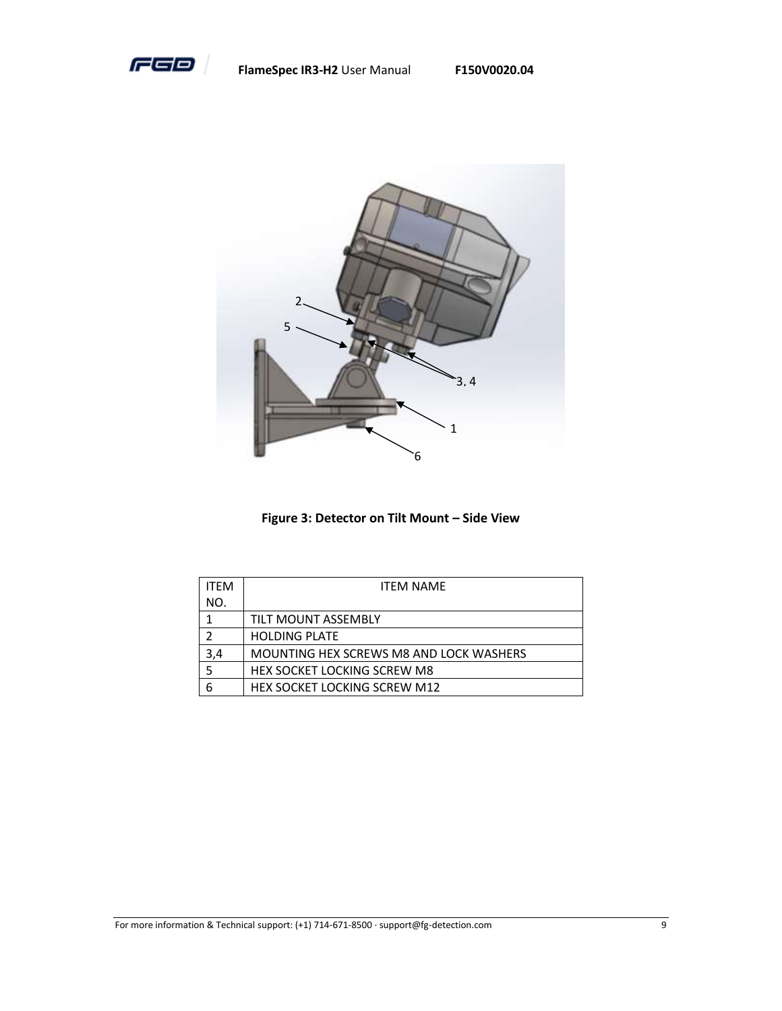

**FlameSpec IR3-H2** User Manual **F150V0020.04**



**Figure 3: Detector on Tilt Mount - Side View** 

<span id="page-13-0"></span>

| <b>ITFM</b> | <b>ITFM NAMF</b>                        |  |  |  |
|-------------|-----------------------------------------|--|--|--|
| NO.         |                                         |  |  |  |
|             | TILT MOUNT ASSEMBLY                     |  |  |  |
| າ           | <b>HOLDING PLATE</b>                    |  |  |  |
| 3.4         | MOUNTING HEX SCREWS M8 AND LOCK WASHERS |  |  |  |
| 5           | <b>HEX SOCKET LOCKING SCREW M8</b>      |  |  |  |
| 6           | <b>HEX SOCKET LOCKING SCREW M12</b>     |  |  |  |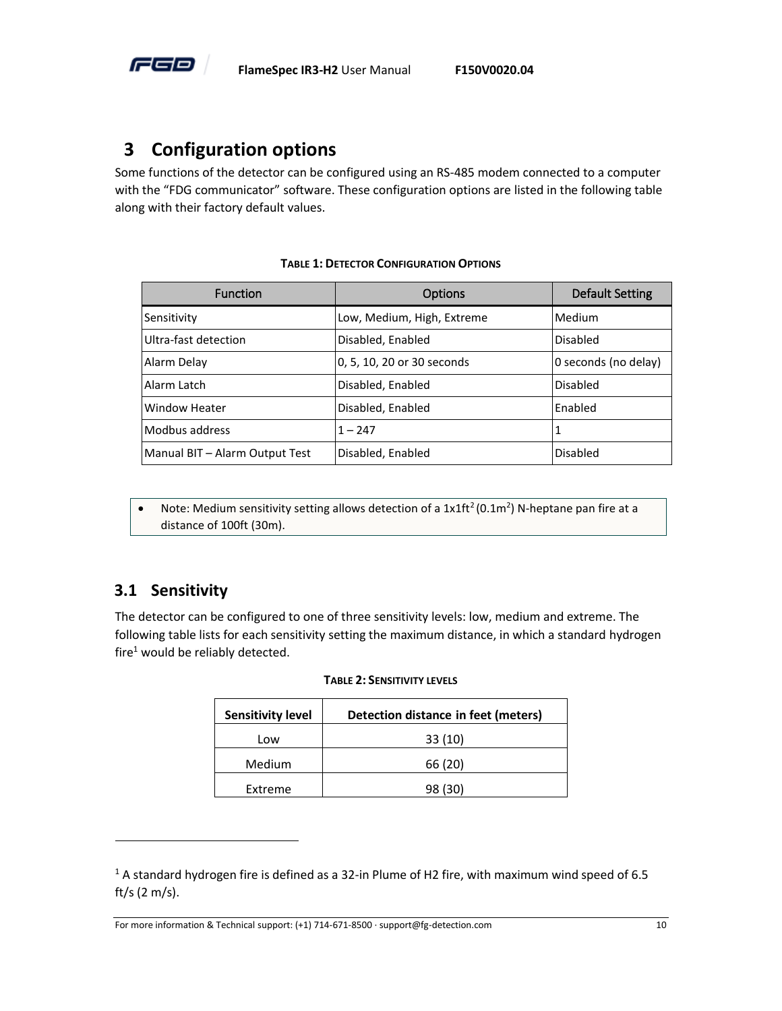

# <span id="page-14-0"></span>**3 Configuration options**

Some functions of the detector can be configured using an RS-485 modem connected to a computer with the "FDG communicator" software. These configuration options are listed in the following table along with their factory default values.

<span id="page-14-2"></span>

| <b>Function</b>                | <b>Options</b>             | <b>Default Setting</b> |
|--------------------------------|----------------------------|------------------------|
| Sensitivity                    | Low, Medium, High, Extreme | Medium                 |
| Ultra-fast detection           | Disabled, Enabled          | Disabled               |
| Alarm Delay                    | 0, 5, 10, 20 or 30 seconds | O seconds (no delay)   |
| Alarm Latch                    | Disabled, Enabled          | Disabled               |
| <b>Window Heater</b>           | Disabled, Enabled          | Enabled                |
| Modbus address                 | $1 - 247$                  |                        |
| Manual BIT - Alarm Output Test | Disabled, Enabled          | Disabled               |

#### **TABLE 1: DETECTOR CONFIGURATION OPTIONS**

• Note: Medium sensitivity setting allows detection of a  $1x1ft^2(0.1m^2)$  N-heptane pan fire at a distance of 100ft (30m).

#### <span id="page-14-1"></span>**3.1 Sensitivity**

<span id="page-14-3"></span>The detector can be configured to one of three sensitivity levels: low, medium and extreme. The following table lists for each sensitivity setting the maximum distance, in which a standard hydrogen fire<sup>1</sup> would be reliably detected.

| <b>Sensitivity level</b> | Detection distance in feet (meters) |
|--------------------------|-------------------------------------|
| Low                      | 33(10)                              |
| Medium                   | 66 (20)                             |
| Extreme                  | 98 (30)                             |

#### **TABLE 2: SENSITIVITY LEVELS**

For more information & Technical support: (+1) 714-671-8500 · support@fg-detection.com 10

<sup>1</sup> A standard hydrogen fire is defined as a 32-in Plume of H2 fire, with maximum wind speed of 6.5 ft/s (2 m/s).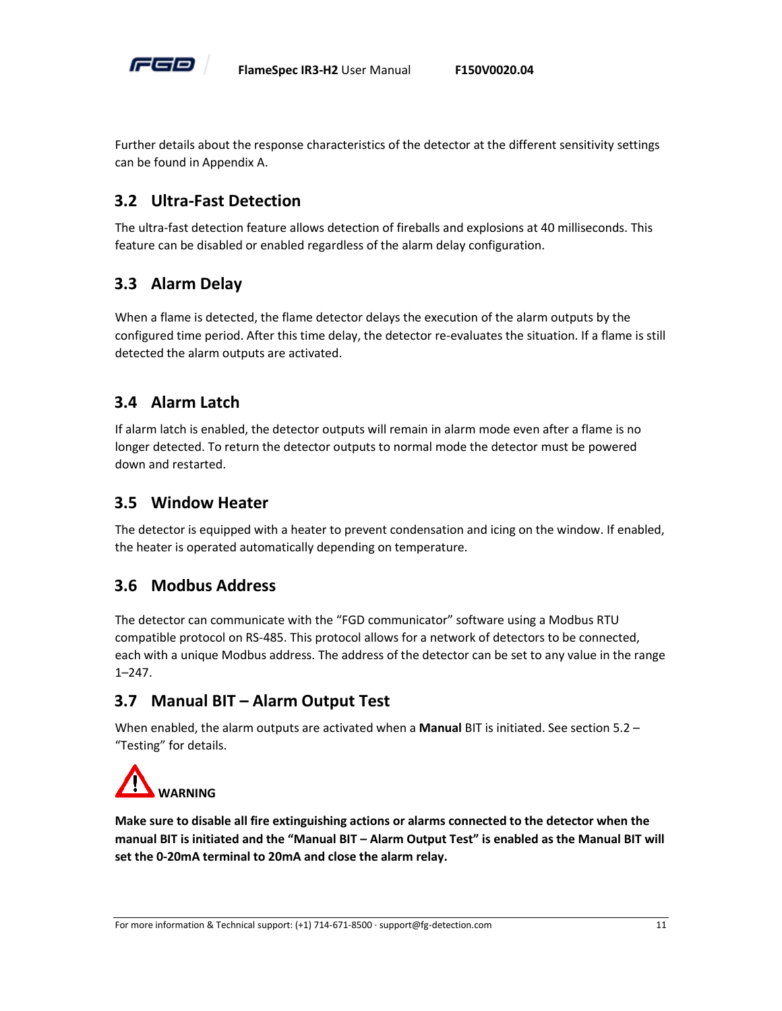

Further details about the response characteristics of the detector at the different sensitivity settings can be found i[n Appendix A.](#page-28-0)

#### <span id="page-15-0"></span>**3.2 Ultra-Fast Detection**

The ultra-fast detection feature allows detection of fireballs and explosions at 40 milliseconds. This feature can be disabled or enabled regardless of the alarm delay configuration.

# <span id="page-15-1"></span>**3.3 Alarm Delay**

When a flame is detected, the flame detector delays the execution of the alarm outputs by the configured time period. After this time delay, the detector re-evaluates the situation. If a flame is still detected the alarm outputs are activated.

# <span id="page-15-2"></span>**3.4 Alarm Latch**

If alarm latch is enabled, the detector outputs will remain in alarm mode even after a flame is no longer detected. To return the detector outputs to normal mode the detector must be powered down and restarted.

#### <span id="page-15-3"></span>**3.5 Window Heater**

The detector is equipped with a heater to prevent condensation and icing on the window. If enabled, the heater is operated automatically depending on temperature.

#### <span id="page-15-4"></span>**3.6 Modbus Address**

The detector can communicate with the "FGD communicator" software using a Modbus RTU compatible protocol on RS-485. This protocol allows for a network of detectors to be connected, each with a unique Modbus address. The address of the detector can be set to any value in the range 1–247.

# <span id="page-15-5"></span>**3.7 Manual BIT – Alarm Output Test**

When enabled, the alarm outputs are activated when a **Manual** BIT is initiated. See section [5.2](#page-21-0) – "[Testing](#page-21-0)" for details.



<span id="page-15-6"></span>**Make sure to disable all fire extinguishing actions or alarms connected to the detector when the manual BIT is initiated and the "Manual BIT – Alarm Output Test" is enabled as the Manual BIT will set the 0-20mA terminal to 20mA and close the alarm relay.**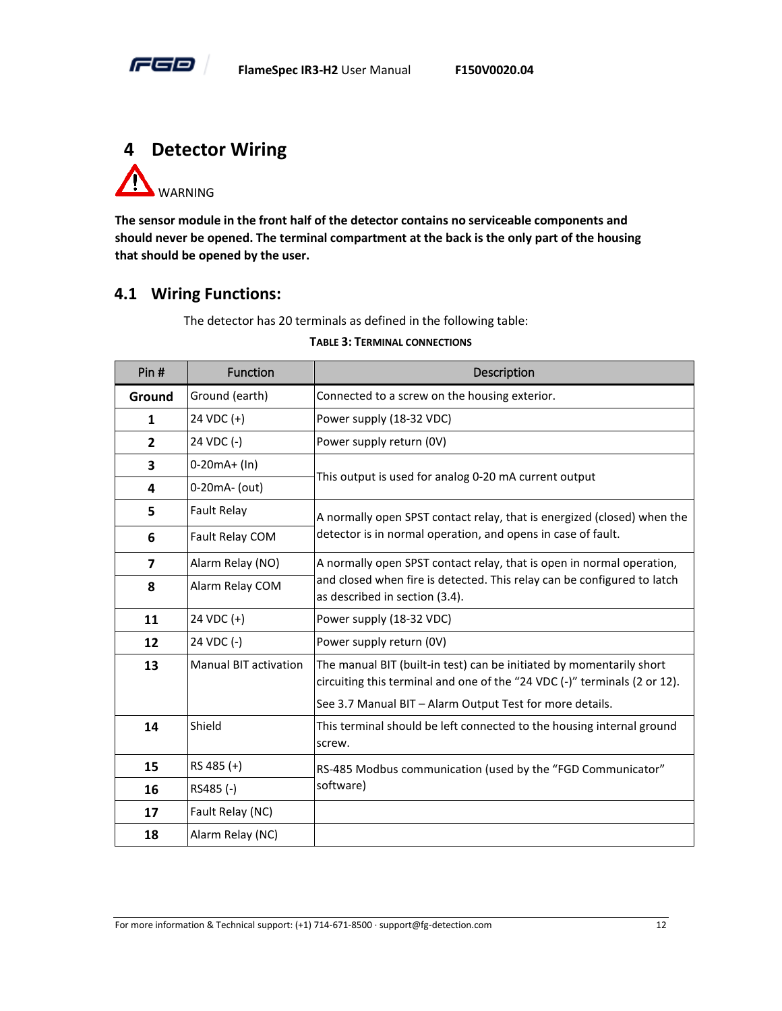

<span id="page-16-0"></span>

**The sensor module in the front half of the detector contains no serviceable components and should never be opened. The terminal compartment at the back is the only part of the housing that should be opened by the user.** 

#### <span id="page-16-1"></span>**4.1 Wiring Functions:**

The detector has 20 terminals as defined in the following table:

#### **TABLE 3: TERMINAL CONNECTIONS**

<span id="page-16-2"></span>

| Pin#                    | Function                     | Description                                                                                                                                       |  |
|-------------------------|------------------------------|---------------------------------------------------------------------------------------------------------------------------------------------------|--|
| Ground                  | Ground (earth)               | Connected to a screw on the housing exterior.                                                                                                     |  |
| $\mathbf{1}$            | 24 VDC (+)                   | Power supply (18-32 VDC)                                                                                                                          |  |
| $\overline{2}$          | 24 VDC (-)                   | Power supply return (0V)                                                                                                                          |  |
| 3                       | $0-20mA + (In)$              | This output is used for analog 0-20 mA current output                                                                                             |  |
| 4                       | 0-20mA- (out)                |                                                                                                                                                   |  |
| 5                       | <b>Fault Relay</b>           | A normally open SPST contact relay, that is energized (closed) when the                                                                           |  |
| 6                       | Fault Relay COM              | detector is in normal operation, and opens in case of fault.                                                                                      |  |
| $\overline{\mathbf{z}}$ | Alarm Relay (NO)             | A normally open SPST contact relay, that is open in normal operation,                                                                             |  |
| 8                       | Alarm Relay COM              | and closed when fire is detected. This relay can be configured to latch<br>as described in section (3.4).                                         |  |
| 11                      | 24 VDC (+)                   | Power supply (18-32 VDC)                                                                                                                          |  |
| 12                      | 24 VDC (-)                   | Power supply return (0V)                                                                                                                          |  |
| 13                      | <b>Manual BIT activation</b> | The manual BIT (built-in test) can be initiated by momentarily short<br>circuiting this terminal and one of the "24 VDC (-)" terminals (2 or 12). |  |
|                         |                              | See 3.7 Manual BIT - Alarm Output Test for more details.                                                                                          |  |
| 14                      | Shield                       | This terminal should be left connected to the housing internal ground<br>screw.                                                                   |  |
| 15                      | RS 485 (+)                   | RS-485 Modbus communication (used by the "FGD Communicator"<br>software)                                                                          |  |
| 16                      | RS485 (-)                    |                                                                                                                                                   |  |
| 17                      | Fault Relay (NC)             |                                                                                                                                                   |  |
| 18                      | Alarm Relay (NC)             |                                                                                                                                                   |  |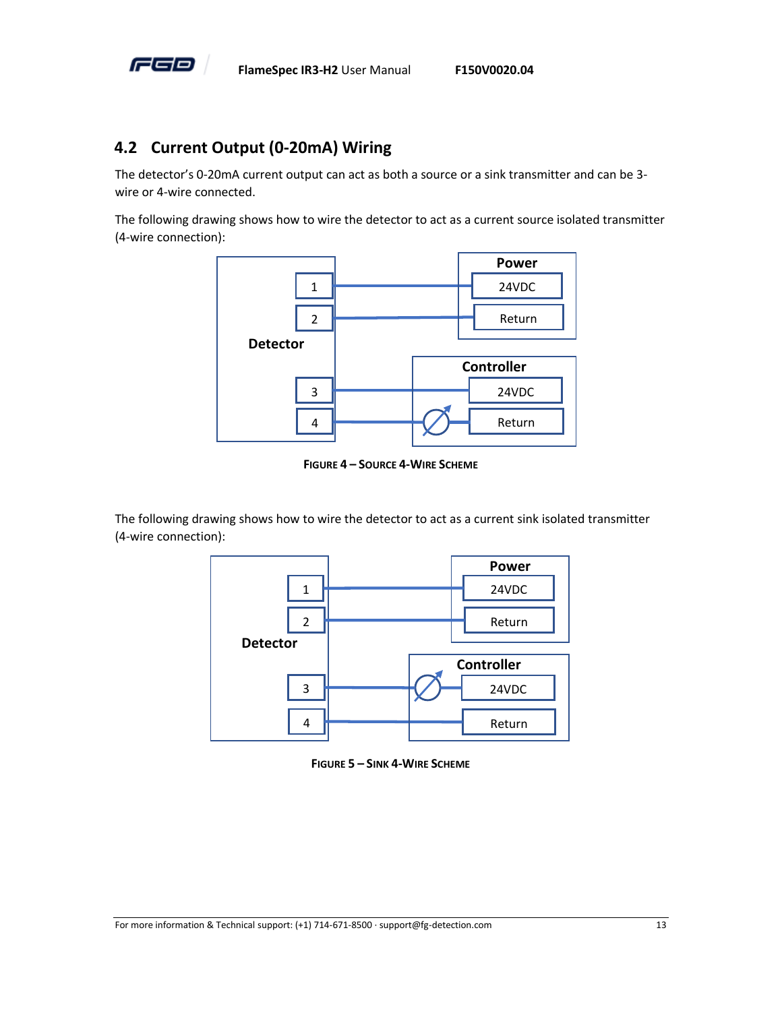

#### <span id="page-17-0"></span>**4.2 Current Output (0-20mA) Wiring**

The detector's 0-20mA current output can act as both a source or a sink transmitter and can be 3 wire or 4-wire connected.

The following drawing shows how to wire the detector to act as a current source isolated transmitter (4-wire connection):



**FIGURE 4 – SOURCE 4-WIRE SCHEME**

<span id="page-17-1"></span>The following drawing shows how to wire the detector to act as a current sink isolated transmitter (4-wire connection):



<span id="page-17-2"></span>**FIGURE 5 – SINK 4-WIRE SCHEME**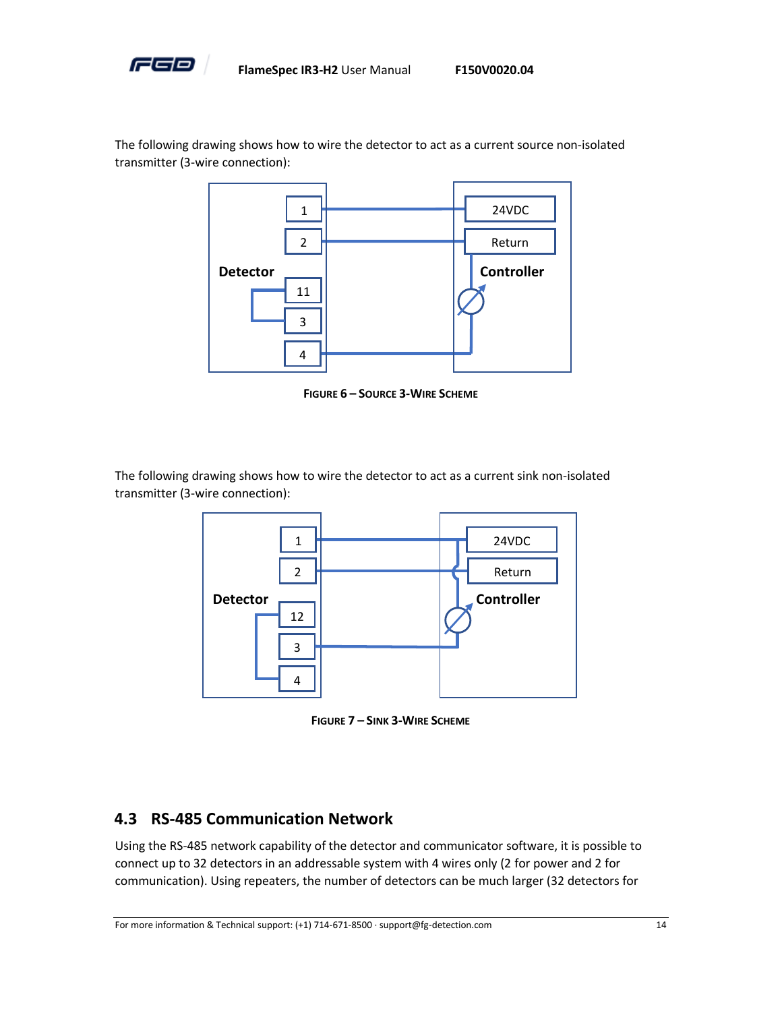

The following drawing shows how to wire the detector to act as a current source non-isolated transmitter (3-wire connection):

![](_page_18_Figure_4.jpeg)

**FIGURE 6 – SOURCE 3-WIRE SCHEME**

<span id="page-18-1"></span>The following drawing shows how to wire the detector to act as a current sink non-isolated transmitter (3-wire connection):

![](_page_18_Figure_7.jpeg)

**FIGURE 7 – SINK 3-WIRE SCHEME**

#### <span id="page-18-2"></span><span id="page-18-0"></span>**4.3 RS-485 Communication Network**

Using the RS-485 network capability of the detector and communicator software, it is possible to connect up to 32 detectors in an addressable system with 4 wires only (2 for power and 2 for communication). Using repeaters, the number of detectors can be much larger (32 detectors for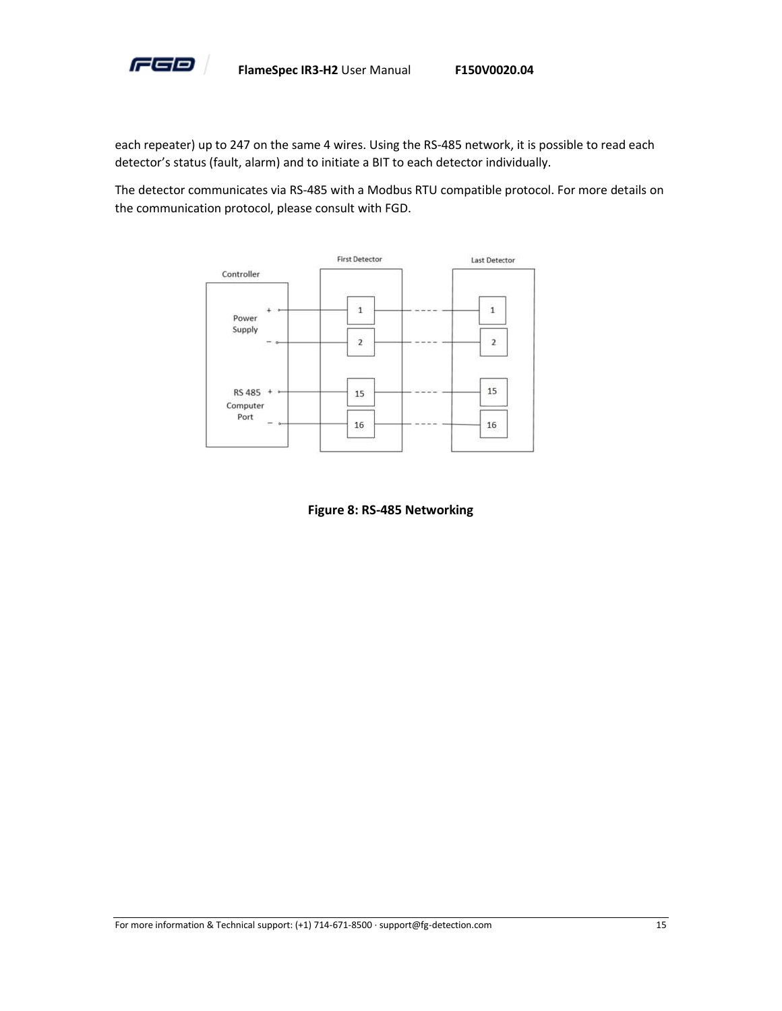![](_page_19_Picture_0.jpeg)

each repeater) up to 247 on the same 4 wires. Using the RS-485 network, it is possible to read each detector's status (fault, alarm) and to initiate a BIT to each detector individually.

The detector communicates via RS-485 with a Modbus RTU compatible protocol. For more details on the communication protocol, please consult with FGD.

![](_page_19_Figure_4.jpeg)

<span id="page-19-0"></span>**Figure 8: RS-485 Networking**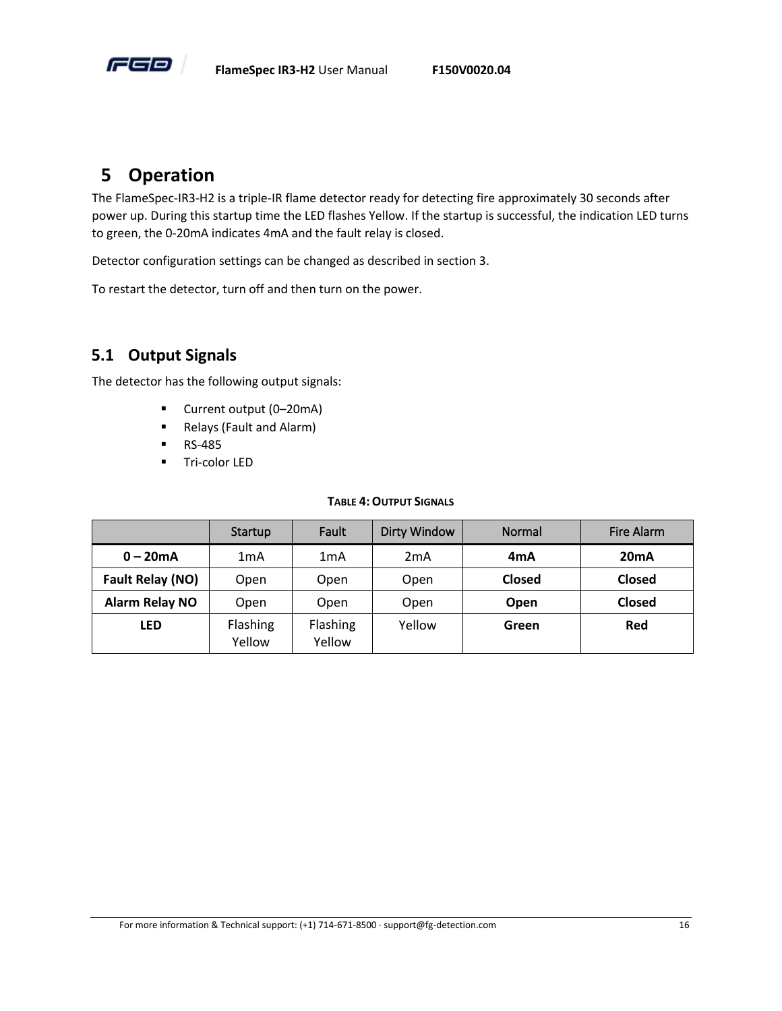![](_page_20_Picture_0.jpeg)

# <span id="page-20-0"></span>**5 Operation**

The FlameSpec-IR3-H2 is a triple-IR flame detector ready for detecting fire approximately 30 seconds after power up. During this startup time the LED flashes Yellow. If the startup is successful, the indication LED turns to green, the 0-20mA indicates 4mA and the fault relay is closed.

Detector configuration settings can be changed as described in section [3.](#page-14-0)

To restart the detector, turn off and then turn on the power.

#### <span id="page-20-1"></span>**5.1 Output Signals**

The detector has the following output signals:

- Current output (0–20mA)
- Relays (Fault and Alarm)
- RS-485
- Tri-color LED

#### **TABLE 4:OUTPUT SIGNALS**

<span id="page-20-2"></span>

|                       | Startup            | Fault              | <b>Dirty Window</b> | Normal           | <b>Fire Alarm</b> |
|-----------------------|--------------------|--------------------|---------------------|------------------|-------------------|
| $0 - 20mA$            | 1mA                | 1mA                | 2mA                 | 4 <sub>m</sub> A | 20mA              |
| Fault Relay (NO)      | Open               | Open               | Open                | Closed           | <b>Closed</b>     |
| <b>Alarm Relay NO</b> | Open               | Open               | Open                | Open             | <b>Closed</b>     |
| <b>LED</b>            | Flashing<br>Yellow | Flashing<br>Yellow | Yellow              | Green            | Red               |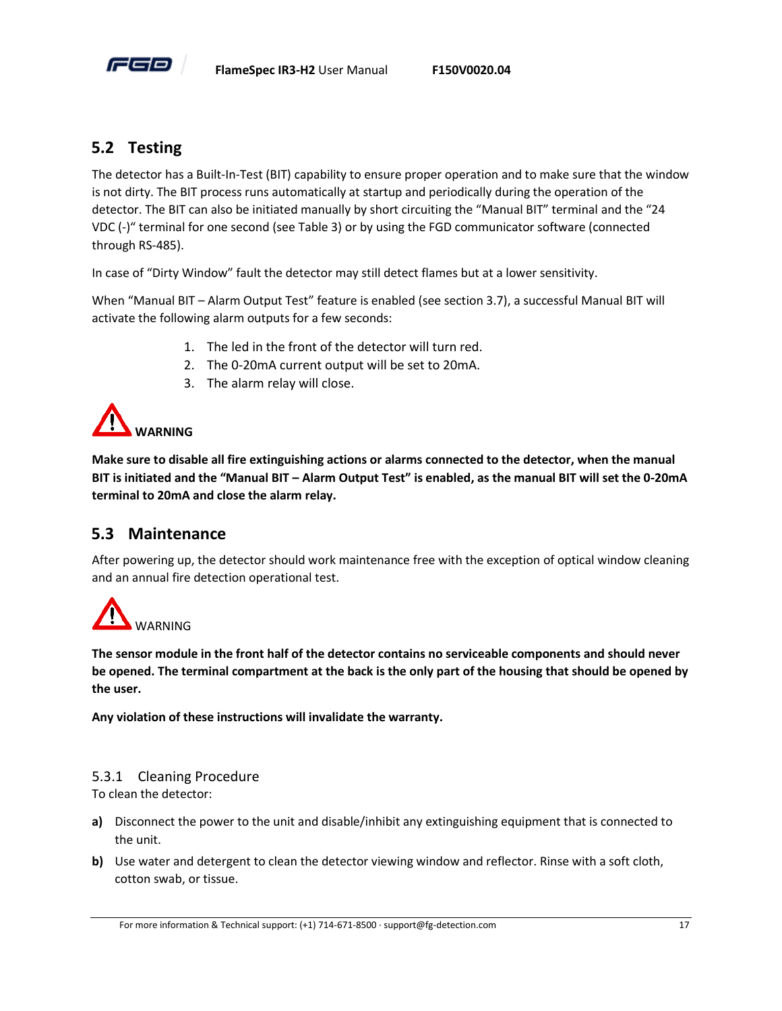![](_page_21_Picture_0.jpeg)

#### <span id="page-21-0"></span>**5.2 Testing**

The detector has a Built-In-Test (BIT) capability to ensure proper operation and to make sure that the window is not dirty. The BIT process runs automatically at startup and periodically during the operation of the detector. The BIT can also be initiated manually by short circuiting the "Manual BIT" terminal and the "24 VDC (-)" terminal for one second (see [Table 3\)](#page-16-2) or by using the FGD communicator software (connected through RS-485).

In case of "Dirty Window" fault the detector may still detect flames but at a lower sensitivity.

When "Manual BIT – [Alarm Output Test](#page-15-5)" feature is enabled (see section [3.7\)](#page-15-5), a successful Manual BIT will activate the following alarm outputs for a few seconds:

- 1. The led in the front of the detector will turn red.
- 2. The 0-20mA current output will be set to 20mA.
- 3. The alarm relay will close.

![](_page_21_Picture_10.jpeg)

**Make sure to disable all fire extinguishing actions or alarms connected to the detector, when the manual BIT is initiated and the "Manual BIT – Alarm Output Test" is enabled, as the manual BIT will set the 0-20mA terminal to 20mA and close the alarm relay.**

#### <span id="page-21-1"></span>**5.3 Maintenance**

After powering up, the detector should work maintenance free with the exception of optical window cleaning and an annual fire detection operational test.

![](_page_21_Picture_14.jpeg)

**The sensor module in the front half of the detector contains no serviceable components and should never be opened. The terminal compartment at the back is the only part of the housing that should be opened by the user.** 

**Any violation of these instructions will invalidate the warranty.**

#### 5.3.1 Cleaning Procedure

To clean the detector:

- **a)** Disconnect the power to the unit and disable/inhibit any extinguishing equipment that is connected to the unit.
- **b)** Use water and detergent to clean the detector viewing window and reflector. Rinse with a soft cloth, cotton swab, or tissue.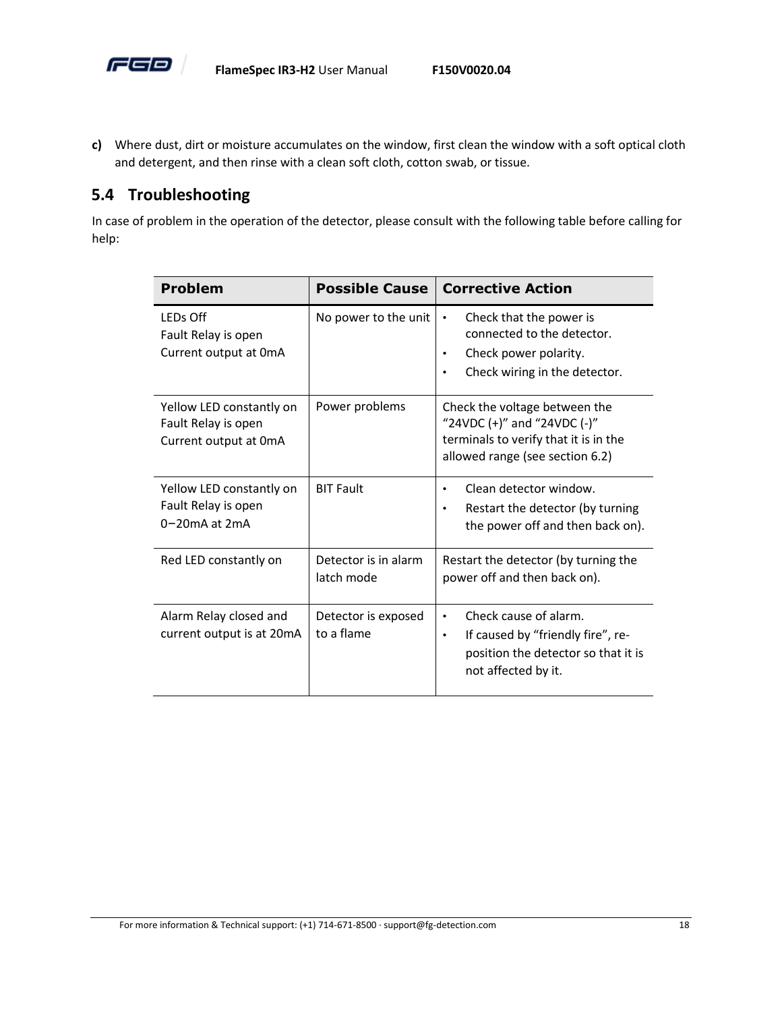![](_page_22_Picture_0.jpeg)

**c)** Where dust, dirt or moisture accumulates on the window, first clean the window with a soft optical cloth and detergent, and then rinse with a clean soft cloth, cotton swab, or tissue.

#### <span id="page-22-0"></span>**5.4 Troubleshooting**

In case of problem in the operation of the detector, please consult with the following table before calling for help:

| <b>Problem</b>                                                           | <b>Possible Cause</b>              | <b>Corrective Action</b>                                                                                                                               |
|--------------------------------------------------------------------------|------------------------------------|--------------------------------------------------------------------------------------------------------------------------------------------------------|
| LEDs Off<br>Fault Relay is open<br>Current output at 0mA                 | No power to the unit               | Check that the power is<br>$\bullet$<br>connected to the detector.<br>Check power polarity.<br>$\bullet$<br>Check wiring in the detector.<br>$\bullet$ |
| Yellow LED constantly on<br>Fault Relay is open<br>Current output at 0mA | Power problems                     | Check the voltage between the<br>"24VDC $(+)$ " and "24VDC $(-)$ "<br>terminals to verify that it is in the<br>allowed range (see section 6.2)         |
| Yellow LED constantly on<br>Fault Relay is open<br>$0-20$ mA at $2mA$    | <b>BIT Fault</b>                   | Clean detector window.<br>$\bullet$<br>Restart the detector (by turning<br>$\bullet$<br>the power off and then back on).                               |
| Red LED constantly on                                                    | Detector is in alarm<br>latch mode | Restart the detector (by turning the<br>power off and then back on).                                                                                   |
| Alarm Relay closed and<br>current output is at 20mA                      | Detector is exposed<br>to a flame  | Check cause of alarm.<br>$\bullet$<br>If caused by "friendly fire", re-<br>٠<br>position the detector so that it is<br>not affected by it.             |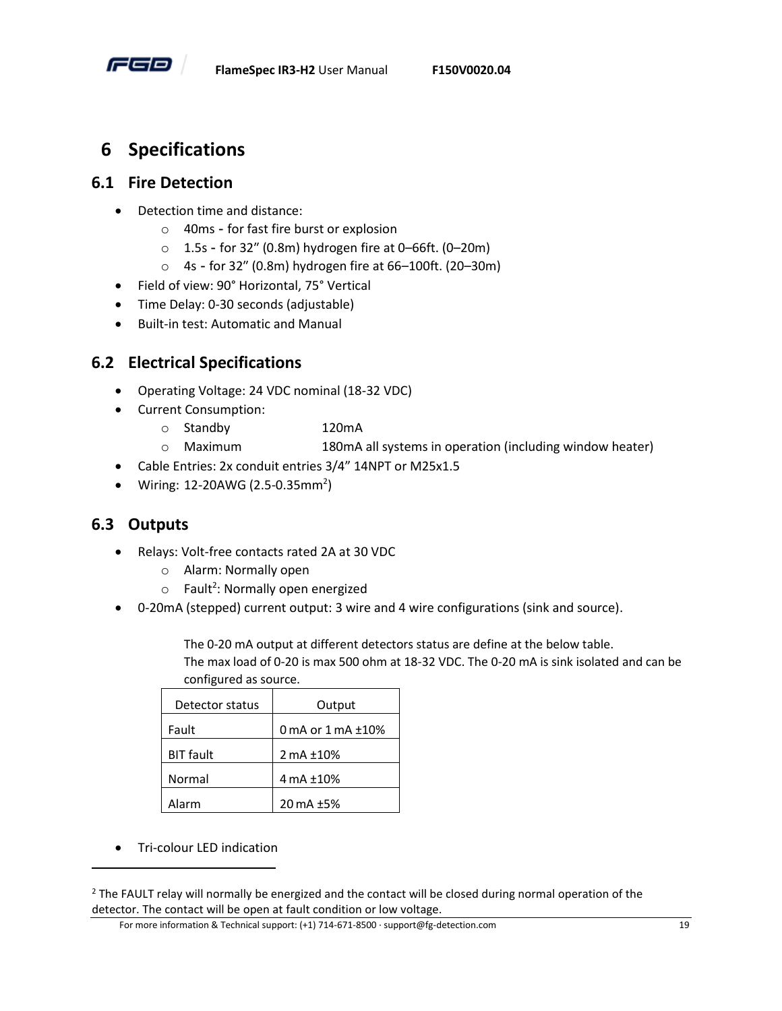![](_page_23_Picture_0.jpeg)

# <span id="page-23-0"></span>**6 Specifications**

#### <span id="page-23-1"></span>**6.1 Fire Detection**

- Detection time and distance:
	- o 40ms for fast fire burst or explosion
	- o 1.5s for 32″ (0.8m) hydrogen fire at 0–66ft. (0–20m)
	- o 4s for 32″ (0.8m) hydrogen fire at 66–100ft. (20–30m)
- Field of view: 90° Horizontal, 75° Vertical
- Time Delay: 0-30 seconds (adjustable)
- Built-in test: Automatic and Manual

#### <span id="page-23-2"></span>**6.2 Electrical Specifications**

- Operating Voltage: 24 VDC nominal (18-32 VDC)
- Current Consumption:
	- o Standby 120mA
	- o Maximum 180mA all systems in operation (including window heater)
- Cable Entries: 2x conduit entries 3/4" 14NPT or M25x1.5
- $\bullet$  Wiring: 12-20AWG (2.5-0.35mm<sup>2</sup>)

#### <span id="page-23-3"></span>**6.3 Outputs**

- Relays: Volt-free contacts rated 2A at 30 VDC
	- o Alarm: Normally open
	- $\circ$  Fault<sup>2</sup>: Normally open energized
- 0-20mA (stepped) current output: 3 wire and 4 wire configurations (sink and source).

The 0-20 mA output at different detectors status are define at the below table. The max load of 0-20 is max 500 ohm at 18-32 VDC. The 0-20 mA is sink isolated and can be configured as source.

| Detector status  | Output                   |
|------------------|--------------------------|
| Fault            | 0 mA or $1$ mA $\pm$ 10% |
| <b>BIT</b> fault | 2 mA ±10%                |
| Normal           | 4 mA ±10%                |
| Alarm            | 20 mA ±5%                |

• Tri-colour LED indication

For more information & Technical support: (+1) 714-671-8500 · support@fg-detection.com 19

<sup>&</sup>lt;sup>2</sup> The FAULT relay will normally be energized and the contact will be closed during normal operation of the detector. The contact will be open at fault condition or low voltage.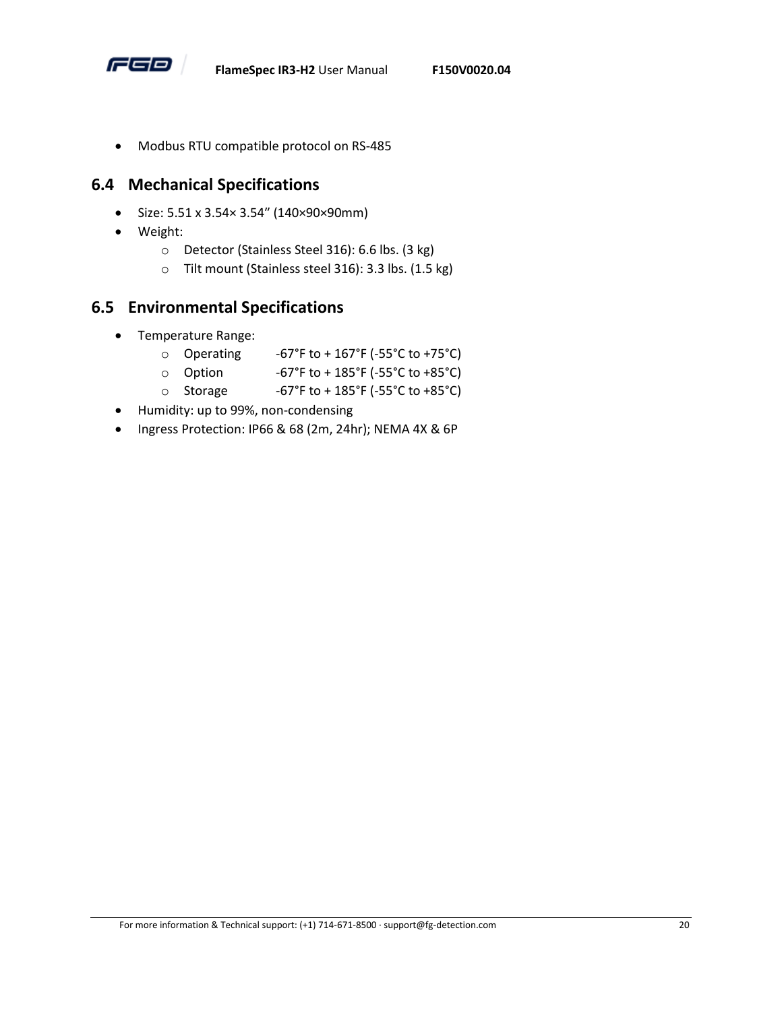![](_page_24_Picture_0.jpeg)

• Modbus RTU compatible protocol on RS-485

#### <span id="page-24-0"></span>**6.4 Mechanical Specifications**

- Size: 5.51 x 3.54× 3.54″ (140×90×90mm)
- Weight:
	- o Detector (Stainless Steel 316): 6.6 lbs. (3 kg)
	- o Tilt mount (Stainless steel 316): 3.3 lbs. (1.5 kg)

#### <span id="page-24-1"></span>**6.5 Environmental Specifications**

- Temperature Range:<br>
o Operating
	- -67°F to + 167°F (-55°C to +75°C)
	- $\circ$  Option -67°F to + 185°F (-55°C to +85°C)
	- Storage  $-67°$ F to + 185°F (-55°C to +85°C)
- Humidity: up to 99%, non-condensing
- Ingress Protection: IP66 & 68 (2m, 24hr); NEMA 4X & 6P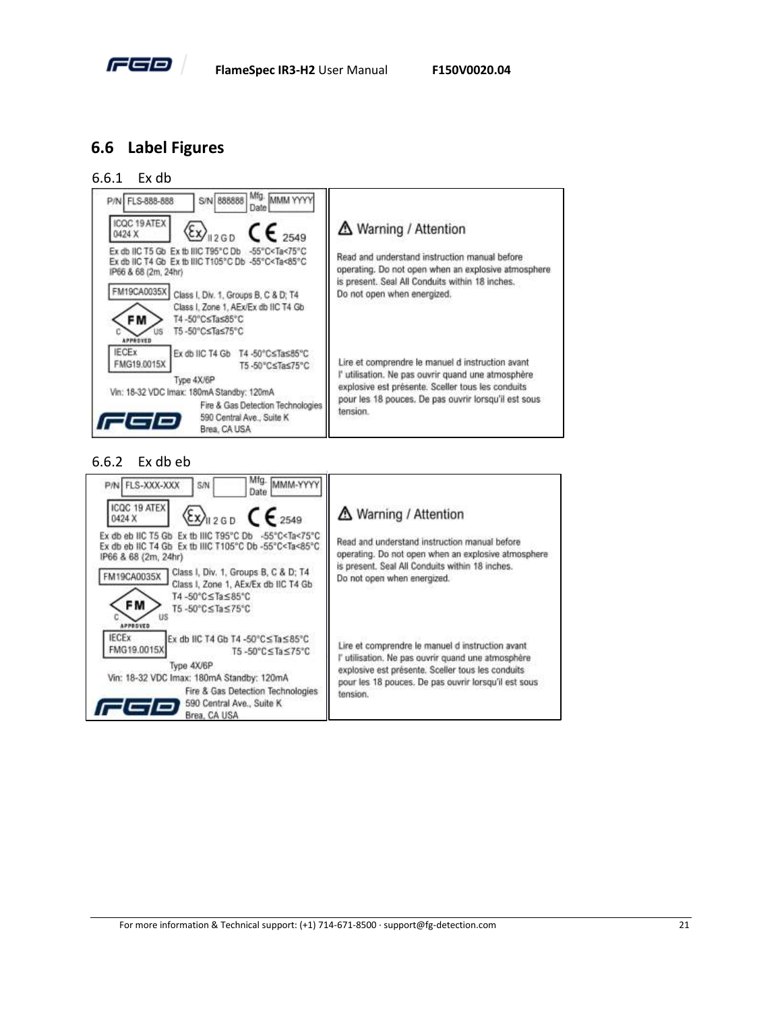![](_page_25_Picture_0.jpeg)

#### <span id="page-25-0"></span>**6.6 Label Figures**

6.6.1 Ex db

![](_page_25_Picture_5.jpeg)

#### 6.6.2 Ex db eb

![](_page_25_Picture_7.jpeg)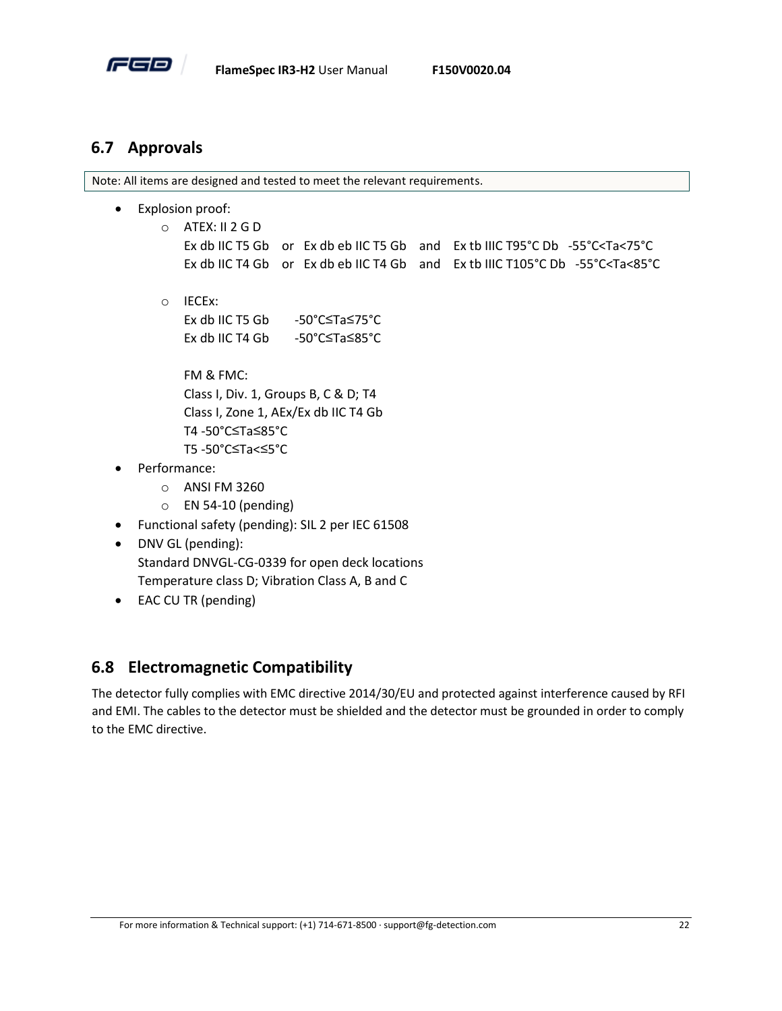![](_page_26_Picture_0.jpeg)

#### <span id="page-26-0"></span>**6.7 Approvals**

Note: All items are designed and tested to meet the relevant requirements.

- Explosion proof:
	- o ATEX: II 2 G D
		- Ex db IIC T5 Gb or Ex db eb IIC T5 Gb and Ex tb IIIC T95°C Db -55°C<Ta<75°C Ex db IIC T4 Gb or Ex db eb IIC T4 Gb and Ex tb IIIC T105°C Db -55°C<Ta<85°C
	- o IECEx:

| Ex db IIC T5 Gb | -50°C≤Ta≤75°C |
|-----------------|---------------|
| Ex db IIC T4 Gb | -50°C≤Ta≤85°C |

FM & FMC: Class I, Div. 1, Groups B, C & D; T4 Class I, Zone 1, AEx/Ex db IIC T4 Gb T4 -50°C≤Ta≤85°C T5 -50°C≤Ta<≤5°C

- Performance:
	- o ANSI FM 3260
	- o EN 54-10 (pending)
- Functional safety (pending): SIL 2 per IEC 61508
- DNV GL (pending): Standard DNVGL-CG-0339 for open deck locations Temperature class D; Vibration Class A, B and C
- EAC CU TR (pending)

# <span id="page-26-1"></span>**6.8 Electromagnetic Compatibility**

The detector fully complies with EMC directive 2014/30/EU and protected against interference caused by RFI and EMI. The cables to the detector must be shielded and the detector must be grounded in order to comply to the EMC directive.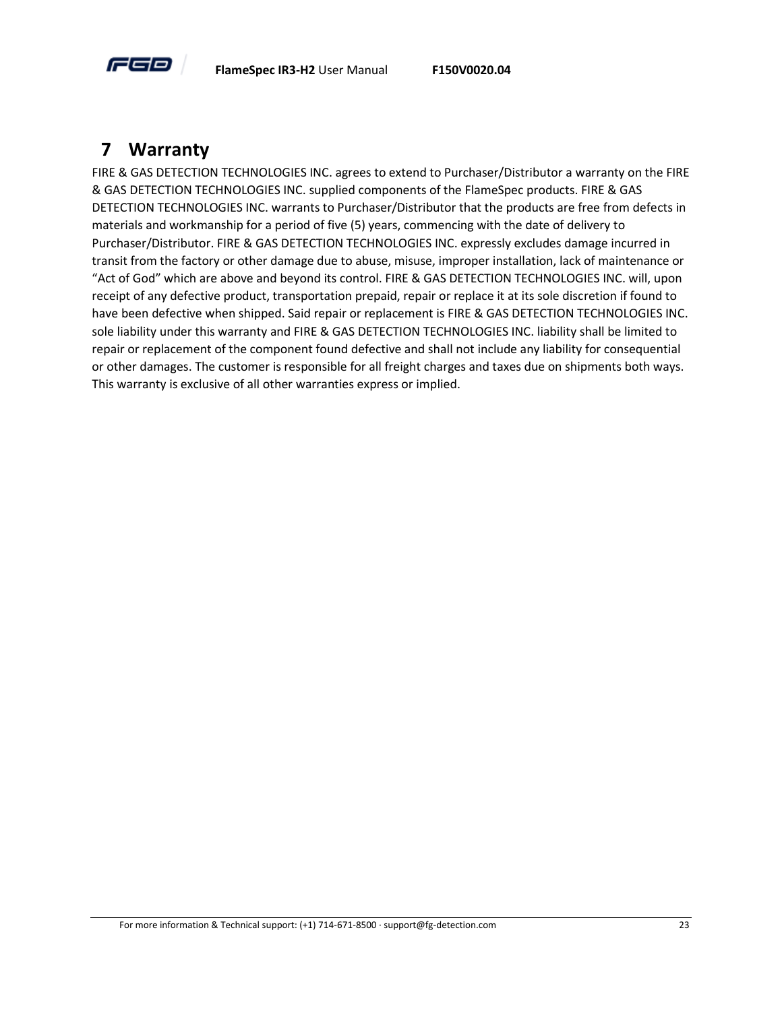![](_page_27_Picture_0.jpeg)

# <span id="page-27-0"></span>**7 Warranty**

FIRE & GAS DETECTION TECHNOLOGIES INC. agrees to extend to Purchaser/Distributor a warranty on the FIRE & GAS DETECTION TECHNOLOGIES INC. supplied components of the FlameSpec products. FIRE & GAS DETECTION TECHNOLOGIES INC. warrants to Purchaser/Distributor that the products are free from defects in materials and workmanship for a period of five (5) years, commencing with the date of delivery to Purchaser/Distributor. FIRE & GAS DETECTION TECHNOLOGIES INC. expressly excludes damage incurred in transit from the factory or other damage due to abuse, misuse, improper installation, lack of maintenance or "Act of God" which are above and beyond its control. FIRE & GAS DETECTION TECHNOLOGIES INC. will, upon receipt of any defective product, transportation prepaid, repair or replace it at its sole discretion if found to have been defective when shipped. Said repair or replacement is FIRE & GAS DETECTION TECHNOLOGIES INC. sole liability under this warranty and FIRE & GAS DETECTION TECHNOLOGIES INC. liability shall be limited to repair or replacement of the component found defective and shall not include any liability for consequential or other damages. The customer is responsible for all freight charges and taxes due on shipments both ways. This warranty is exclusive of all other warranties express or implied.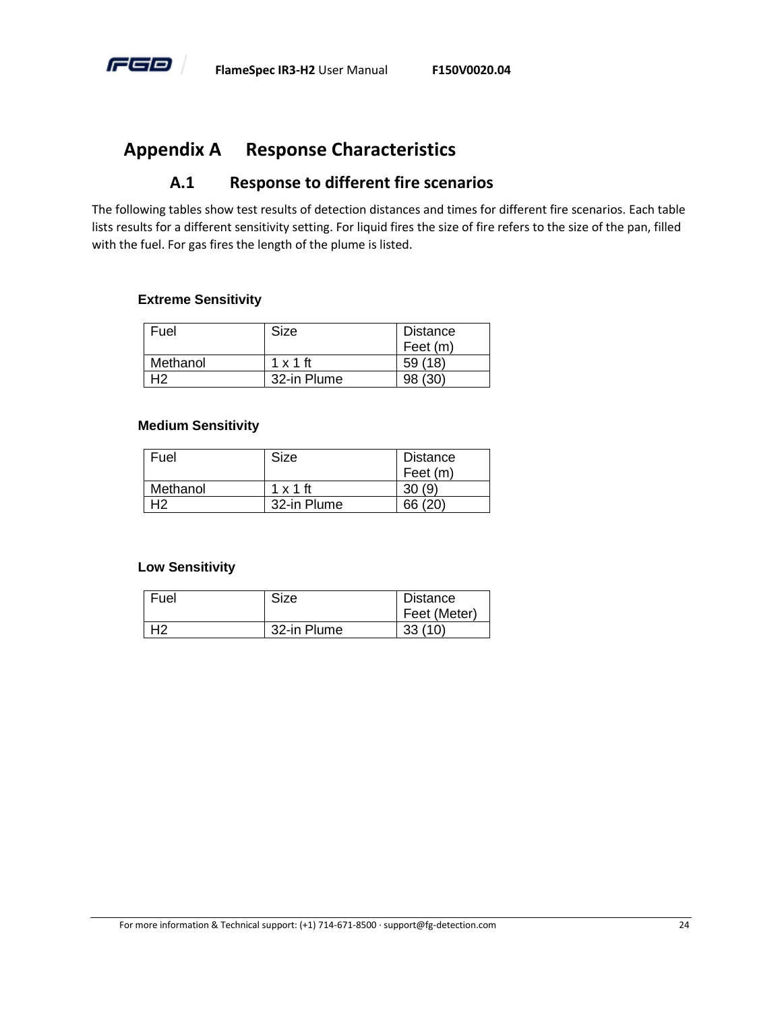![](_page_28_Picture_0.jpeg)

# <span id="page-28-0"></span>**Appendix A Response Characteristics**

#### **A.1 Response to different fire scenarios**

<span id="page-28-1"></span>The following tables show test results of detection distances and times for different fire scenarios. Each table lists results for a different sensitivity setting. For liquid fires the size of fire refers to the size of the pan, filled with the fuel. For gas fires the length of the plume is listed.

#### **Extreme Sensitivity**

| Fuel     | Size            | Distance |
|----------|-----------------|----------|
|          |                 | Feet (m) |
| Methanol | $1 \times 1$ ft | 59(18)   |
| 42       | 32-in Plume     | (30)     |

#### **Medium Sensitivity**

| Fuel     | Size            | Distance |
|----------|-----------------|----------|
|          |                 | Feet (m) |
| Methanol | $1 \times 1$ ft |          |
|          | 32-in Plume     | 66 (20)  |

#### **Low Sensitivity**

| Fuel | Size        | <b>Distance</b> |  |
|------|-------------|-----------------|--|
|      |             | Feet (Meter)    |  |
| 42   | 32-in Plume | 33(10)          |  |